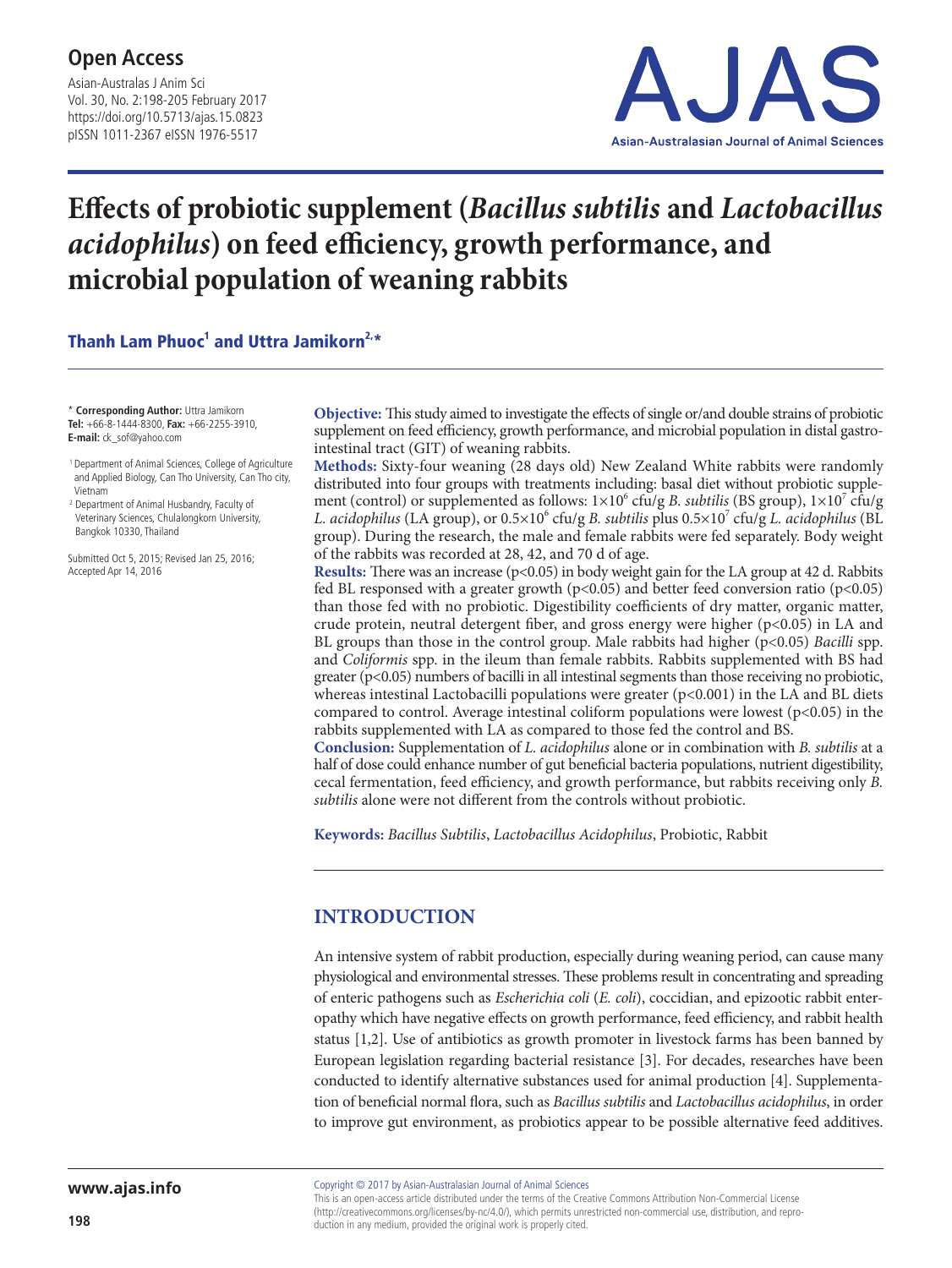Asian-Australas J Anim Sci Vol. 30, No. 2:198-205 February 2017 https://doi.org/10.5713/ajas.15.0823 pISSN 1011-2367 eISSN 1976-5517



# **Effects of probiotic supplement (***Bacillus subtilis* **and** *Lactobacillus acidophilus***) on feed efficiency, growth performance, and microbial population of weaning rabbits**

Thanh Lam Phuoc<sup>1</sup> and Uttra Jamikorn<sup>2,\*</sup>

\* **Corresponding Author:** Uttra Jamikorn **Tel:** +66-8-1444-8300, **Fax:** +66-2255-3910, **E-mail:** ck\_sof@yahoo.com

 1 Department of Animal Sciences, College of Agriculture and Applied Biology, Can Tho University, Can Tho city, Vietnam

<sup>2</sup> Department of Animal Husbandry, Faculty of Veterinary Sciences, Chulalongkorn University, Bangkok 10330, Thailand

Submitted Oct 5, 2015; Revised Jan 25, 2016; Accepted Apr 14, 2016

**Objective:** This study aimed to investigate the effects of single or/and double strains of probiotic supplement on feed efficiency, growth performance, and microbial population in distal gastrointestinal tract (GIT) of weaning rabbits.

**Methods:** Sixty-four weaning (28 days old) New Zealand White rabbits were randomly distributed into four groups with treatments including: basal diet without probiotic supplement (control) or supplemented as follows:  $1 \times 10^6$  cfu/g *B. subtilis* (BS group),  $1 \times 10^7$  cfu/g L. acidophilus (LA group), or  $0.5 \times 10^6$  cfu/g *B. subtilis* plus  $0.5 \times 10^7$  cfu/g *L. acidophilus* (BL group). During the research, the male and female rabbits were fed separately. Body weight of the rabbits was recorded at 28, 42, and 70 d of age.

**Results:** There was an increase (p<0.05) in body weight gain for the LA group at 42 d. Rabbits fed BL responsed with a greater growth ( $p<0.05$ ) and better feed conversion ratio ( $p<0.05$ ) than those fed with no probiotic. Digestibility coefficients of dry matter, organic matter, crude protein, neutral detergent fiber, and gross energy were higher  $(p<0.05)$  in LA and BL groups than those in the control group. Male rabbits had higher (p<0.05) *Bacilli* spp. and *Coliformis* spp. in the ileum than female rabbits. Rabbits supplemented with BS had greater (p<0.05) numbers of bacilli in all intestinal segments than those receiving no probiotic, whereas intestinal Lactobacilli populations were greater  $(p<0.001)$  in the LA and BL diets compared to control. Average intestinal coliform populations were lowest  $(p<0.05)$  in the rabbits supplemented with LA as compared to those fed the control and BS.

**Conclusion:** Supplementation of *L. acidophilus* alone or in combination with *B. subtilis* at a half of dose could enhance number of gut beneficial bacteria populations, nutrient digestibility, cecal fermentation, feed efficiency, and growth performance, but rabbits receiving only *B. subtilis* alone were not different from the controls without probiotic.

**Keywords:** *Bacillus Subtilis*, *Lactobacillus Acidophilus*, Probiotic, Rabbit

# **INTRODUCTION**

An intensive system of rabbit production, especially during weaning period, can cause many physiological and environmental stresses. These problems result in concentrating and spreading of enteric pathogens such as *Escherichia coli* (*E. coli*), coccidian, and epizootic rabbit enteropathy which have negative effects on growth performance, feed efficiency, and rabbit health status [1,2]. Use of antibiotics as growth promoter in livestock farms has been banned by European legislation regarding bacterial resistance [3]. For decades, researches have been conducted to identify alternative substances used for animal production [4]. Supplementation of beneficial normal flora, such as *Bacillus subtilis* and *Lactobacillus acidophilus*, in order to improve gut environment, as probiotics appear to be possible alternative feed additives.

Copyright © 2017 by Asian-Australasian Journal of Animal Sciences

This is an open-access article distributed under the terms of the Creative Commons Attribution Non-Commercial License (http://creativecommons.org/licenses/by-nc/4.0/), which permits unrestricted non-commercial use, distribution, and reproduction in any medium, provided the original work is properly cited.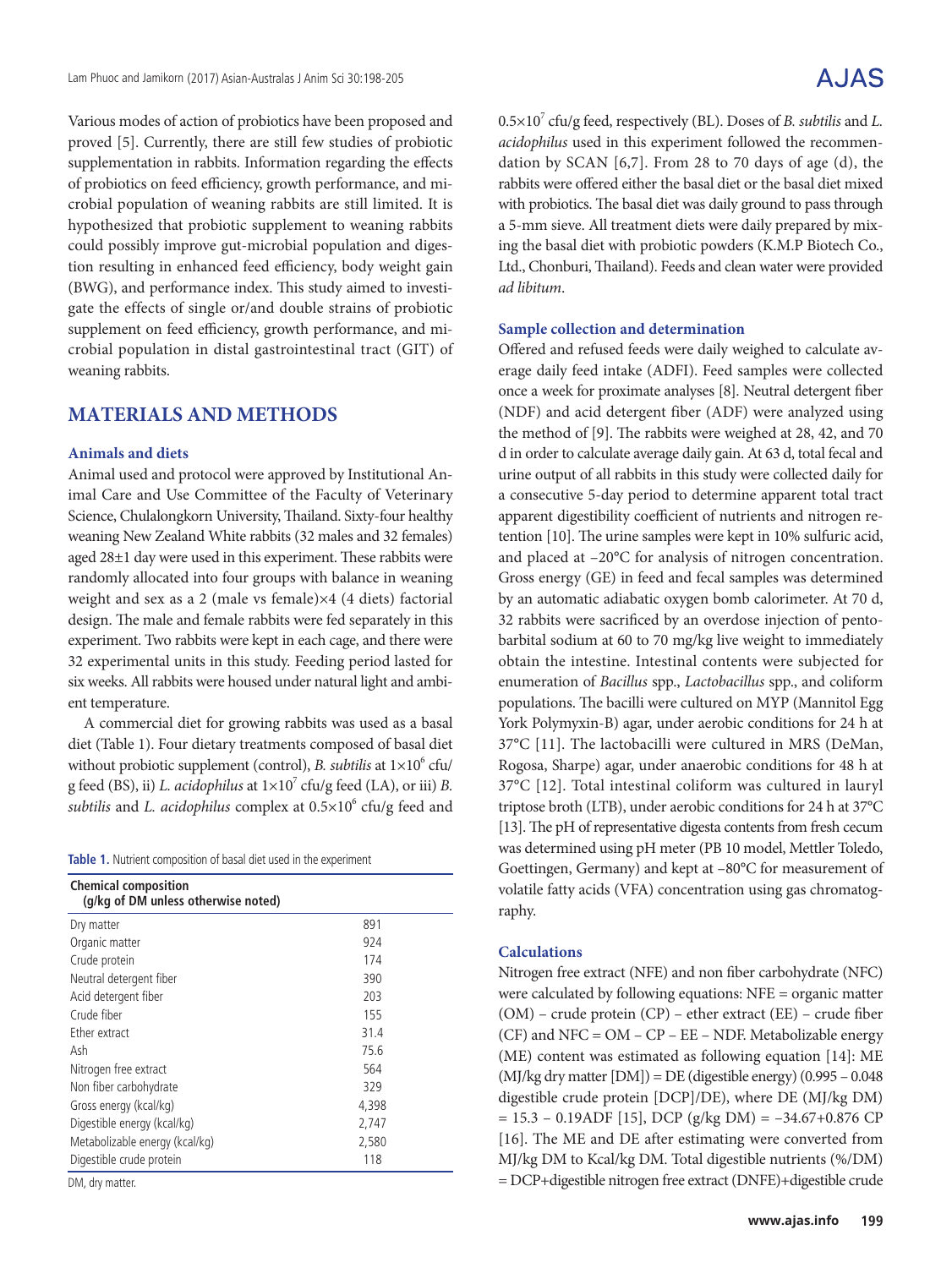Various modes of action of probiotics have been proposed and proved [5]. Currently, there are still few studies of probiotic supplementation in rabbits. Information regarding the effects of probiotics on feed efficiency, growth performance, and microbial population of weaning rabbits are still limited. It is hypothesized that probiotic supplement to weaning rabbits could possibly improve gut-microbial population and digestion resulting in enhanced feed efficiency, body weight gain (BWG), and performance index. This study aimed to investigate the effects of single or/and double strains of probiotic supplement on feed efficiency, growth performance, and microbial population in distal gastrointestinal tract (GIT) of weaning rabbits.

## **MATERIALS AND METHODS**

#### **Animals and diets**

Animal used and protocol were approved by Institutional Animal Care and Use Committee of the Faculty of Veterinary Science, Chulalongkorn University, Thailand. Sixty-four healthy weaning New Zealand White rabbits (32 males and 32 females) aged 28±1 day were used in this experiment. These rabbits were randomly allocated into four groups with balance in weaning weight and sex as a 2 (male vs female)×4 (4 diets) factorial design. The male and female rabbits were fed separately in this experiment. Two rabbits were kept in each cage, and there were 32 experimental units in this study. Feeding period lasted for six weeks. All rabbits were housed under natural light and ambient temperature.

A commercial diet for growing rabbits was used as a basal diet (Table 1). Four dietary treatments composed of basal diet without probiotic supplement (control), *B. subtilis* at  $1\times10^6$  cfu/ g feed (BS), ii) *L. acidophilus* at  $1 \times 10^7$  cfu/g feed (LA), or iii) *B*. subtilis and *L. acidophilus* complex at  $0.5 \times 10^6$  cfu/g feed and

|  |  |  | Table 1. Nutrient composition of basal diet used in the experiment |  |  |  |  |  |  |  |  |
|--|--|--|--------------------------------------------------------------------|--|--|--|--|--|--|--|--|
|--|--|--|--------------------------------------------------------------------|--|--|--|--|--|--|--|--|

| <b>Chemical composition</b><br>(g/kg of DM unless otherwise noted) |       |  |  |  |  |  |  |  |  |
|--------------------------------------------------------------------|-------|--|--|--|--|--|--|--|--|
| Dry matter                                                         | 891   |  |  |  |  |  |  |  |  |
| Organic matter                                                     | 924   |  |  |  |  |  |  |  |  |
| Crude protein                                                      | 174   |  |  |  |  |  |  |  |  |
| Neutral detergent fiber                                            | 390   |  |  |  |  |  |  |  |  |
| Acid detergent fiber                                               | 203   |  |  |  |  |  |  |  |  |
| Crude fiber                                                        | 155   |  |  |  |  |  |  |  |  |
| Ether extract                                                      | 31.4  |  |  |  |  |  |  |  |  |
| Ash                                                                | 75.6  |  |  |  |  |  |  |  |  |
| Nitrogen free extract                                              | 564   |  |  |  |  |  |  |  |  |
| Non fiber carbohydrate                                             | 329   |  |  |  |  |  |  |  |  |
| Gross energy (kcal/kg)                                             | 4,398 |  |  |  |  |  |  |  |  |
| Digestible energy (kcal/kg)                                        | 2,747 |  |  |  |  |  |  |  |  |
| Metabolizable energy (kcal/kg)                                     | 2,580 |  |  |  |  |  |  |  |  |
| Digestible crude protein                                           | 118   |  |  |  |  |  |  |  |  |

DM, dry matter.

0.5×10<sup>7</sup> cfu/g feed, respectively (BL). Doses of *B. subtilis* and *L*. *acidophilus* used in this experiment followed the recommendation by SCAN [6,7]. From 28 to 70 days of age (d), the rabbits were offered either the basal diet or the basal diet mixed with probiotics. The basal diet was daily ground to pass through a 5-mm sieve. All treatment diets were daily prepared by mixing the basal diet with probiotic powders (K.M.P Biotech Co., Ltd., Chonburi, Thailand). Feeds and clean water were provided *ad libitum*.

#### **Sample collection and determination**

Offered and refused feeds were daily weighed to calculate average daily feed intake (ADFI). Feed samples were collected once a week for proximate analyses [8]. Neutral detergent fiber (NDF) and acid detergent fiber (ADF) were analyzed using the method of [9]. The rabbits were weighed at 28, 42, and 70 d in order to calculate average daily gain. At 63 d, total fecal and urine output of all rabbits in this study were collected daily for a consecutive 5-day period to determine apparent total tract apparent digestibility coefficient of nutrients and nitrogen retention [10]. The urine samples were kept in 10% sulfuric acid, and placed at –20°C for analysis of nitrogen concentration. Gross energy (GE) in feed and fecal samples was determined by an automatic adiabatic oxygen bomb calorimeter. At 70 d, 32 rabbits were sacrificed by an overdose injection of pentobarbital sodium at 60 to 70 mg/kg live weight to immediately obtain the intestine. Intestinal contents were subjected for enumeration of *Bacillus* spp., *Lactobacillus* spp., and coliform populations. The bacilli were cultured on MYP (Mannitol Egg York Polymyxin-B) agar, under aerobic conditions for 24 h at 37°C [11]. The lactobacilli were cultured in MRS (DeMan, Rogosa, Sharpe) agar, under anaerobic conditions for 48 h at 37°C [12]. Total intestinal coliform was cultured in lauryl triptose broth (LTB), under aerobic conditions for 24 h at 37°C [13]. The pH of representative digesta contents from fresh cecum was determined using pH meter (PB 10 model, Mettler Toledo, Goettingen, Germany) and kept at –80°C for measurement of volatile fatty acids (VFA) concentration using gas chromatography.

### **Calculations**

Nitrogen free extract (NFE) and non fiber carbohydrate (NFC) were calculated by following equations: NFE = organic matter (OM) – crude protein (CP) – ether extract (EE) – crude fiber (CF) and NFC = OM – CP – EE – NDF. Metabolizable energy (ME) content was estimated as following equation [14]: ME  $(MJ/kg$  dry matter  $[DM]$ ) = DE (digestible energy) (0.995 – 0.048 digestible crude protein [DCP]/DE), where DE (MJ/kg DM)  $= 15.3 - 0.19$ ADF [15], DCP (g/kg DM) = -34.67+0.876 CP [16]. The ME and DE after estimating were converted from MJ/kg DM to Kcal/kg DM. Total digestible nutrients (%/DM) = DCP+digestible nitrogen free extract (DNFE)+digestible crude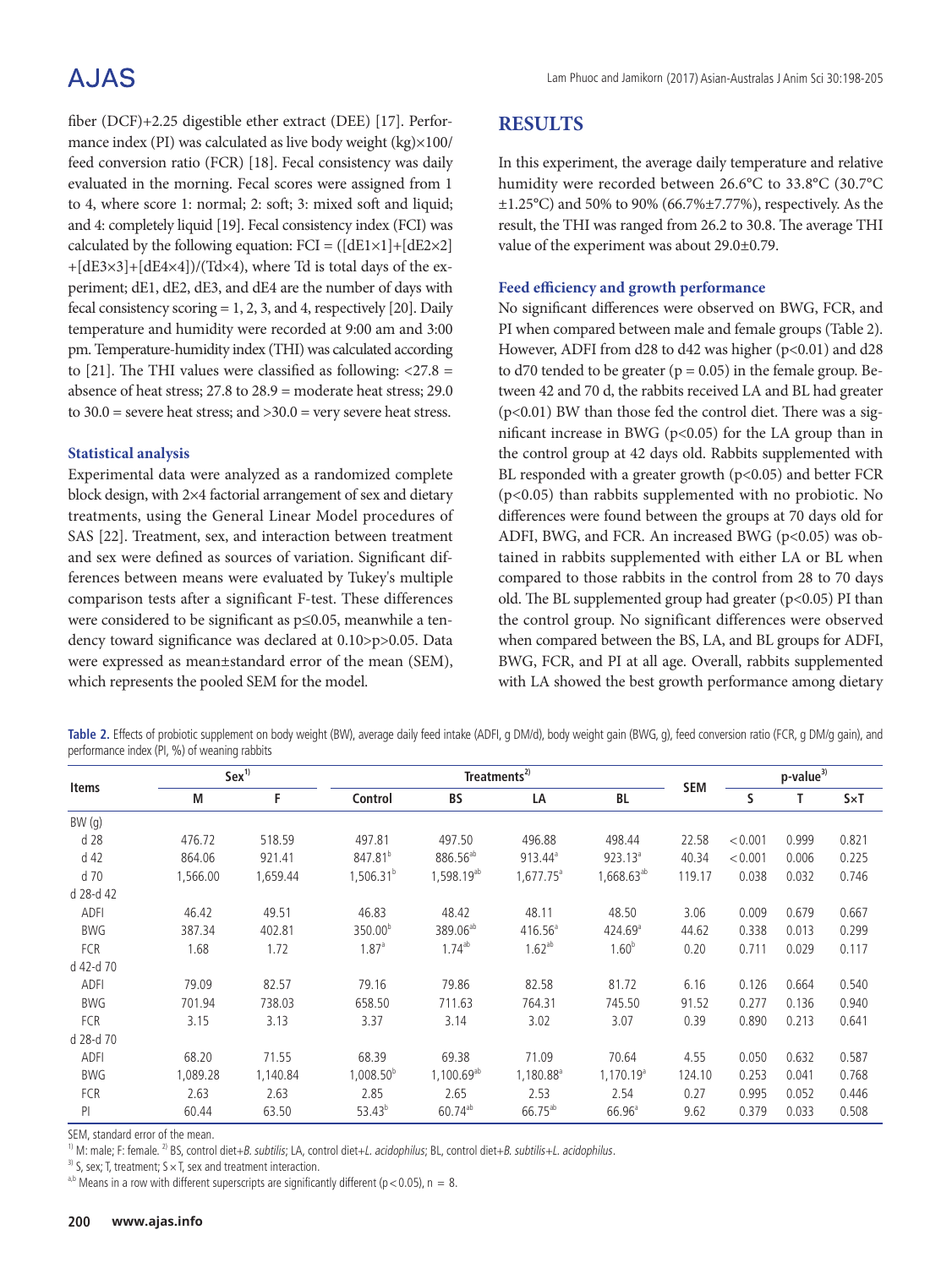# A.JAS

fiber (DCF)+2.25 digestible ether extract (DEE) [17]. Performance index (PI) was calculated as live body weight (kg)×100/ feed conversion ratio (FCR) [18]. Fecal consistency was daily evaluated in the morning. Fecal scores were assigned from 1 to 4, where score 1: normal; 2: soft; 3: mixed soft and liquid; and 4: completely liquid [19]. Fecal consistency index (FCI) was calculated by the following equation:  $FCI = ([dE1 \times 1] + [dE2 \times 2]$  $+[dE3\times3]+[dE4\times4])/(Td\times4)$ , where Td is total days of the experiment; dE1, dE2, dE3, and dE4 are the number of days with fecal consistency scoring  $= 1, 2, 3$ , and 4, respectively [20]. Daily temperature and humidity were recorded at 9:00 am and 3:00 pm. Temperature-humidity index (THI) was calculated according to [21]. The THI values were classified as following:  $\langle 27.8 =$ absence of heat stress; 27.8 to 28.9 = moderate heat stress; 29.0 to  $30.0$  = severe heat stress; and  $>30.0$  = very severe heat stress.

### **Statistical analysis**

Experimental data were analyzed as a randomized complete block design, with 2×4 factorial arrangement of sex and dietary treatments, using the General Linear Model procedures of SAS [22]. Treatment, sex, and interaction between treatment and sex were defined as sources of variation. Significant differences between means were evaluated by Tukey's multiple comparison tests after a significant F-test. These differences were considered to be significant as p≤0.05, meanwhile a tendency toward significance was declared at 0.10>p>0.05. Data were expressed as mean±standard error of the mean (SEM), which represents the pooled SEM for the model.

# **RESULTS**

In this experiment, the average daily temperature and relative humidity were recorded between 26.6°C to 33.8°C (30.7°C  $\pm$ 1.25°C) and 50% to 90% (66.7% $\pm$ 7.77%), respectively. As the result, the THI was ranged from 26.2 to 30.8. The average THI value of the experiment was about 29.0±0.79.

### **Feed efficiency and growth performance**

No significant differences were observed on BWG, FCR, and PI when compared between male and female groups (Table 2). However, ADFI from d28 to d42 was higher (p<0.01) and d28 to d70 tended to be greater ( $p = 0.05$ ) in the female group. Between 42 and 70 d, the rabbits received LA and BL had greater (p<0.01) BW than those fed the control diet. There was a significant increase in BWG (p<0.05) for the LA group than in the control group at 42 days old. Rabbits supplemented with BL responded with a greater growth (p<0.05) and better FCR (p<0.05) than rabbits supplemented with no probiotic. No differences were found between the groups at 70 days old for ADFI, BWG, and FCR. An increased BWG (p<0.05) was obtained in rabbits supplemented with either LA or BL when compared to those rabbits in the control from 28 to 70 days old. The BL supplemented group had greater  $(p<0.05)$  PI than the control group. No significant differences were observed when compared between the BS, LA, and BL groups for ADFI, BWG, FCR, and PI at all age. Overall, rabbits supplemented with LA showed the best growth performance among dietary

**Table 2.** Effects of probiotic supplement on body weight (BW), average daily feed intake (ADFI, g DM/d), body weight gain (BWG, g), feed conversion ratio (FCR, g DM/g gain), and performance index (PI, %) of weaning rabbits

|             |          | Sex <sup>1</sup> |                       | Treatments <sup>2)</sup> |                       |                        |            |         | $p$ -value <sup>3)</sup> |              |  |
|-------------|----------|------------------|-----------------------|--------------------------|-----------------------|------------------------|------------|---------|--------------------------|--------------|--|
| Items       | M        | F                | Control               | <b>BS</b>                | LA                    | BL                     | <b>SEM</b> | S       | т                        | $S \times T$ |  |
| BW(g)       |          |                  |                       |                          |                       |                        |            |         |                          |              |  |
| d 28        | 476.72   | 518.59           | 497.81                | 497.50                   | 496.88                | 498.44                 | 22.58      | < 0.001 | 0.999                    | 0.821        |  |
| d 42        | 864.06   | 921.41           | 847.81 <sup>b</sup>   | 886.56 <sup>ab</sup>     | $913.44^{\circ}$      | $923.13^a$             | 40.34      | < 0.001 | 0.006                    | 0.225        |  |
| d 70        | 1,566.00 | 1,659.44         | $1,506.31^{b}$        | 1,598.19 <sup>ab</sup>   | $1,677.75^{\circ}$    | 1,668.63 <sup>ab</sup> | 119.17     | 0.038   | 0.032                    | 0.746        |  |
| d 28-d 42   |          |                  |                       |                          |                       |                        |            |         |                          |              |  |
| <b>ADFI</b> | 46.42    | 49.51            | 46.83                 | 48.42                    | 48.11                 | 48.50                  | 3.06       | 0.009   | 0.679                    | 0.667        |  |
| <b>BWG</b>  | 387.34   | 402.81           | 350.00 <sup>b</sup>   | 389.06 <sup>ab</sup>     | $416.56^{\circ}$      | $424.69^{\circ}$       | 44.62      | 0.338   | 0.013                    | 0.299        |  |
| <b>FCR</b>  | 1.68     | 1.72             | 1.87 <sup>a</sup>     | $1.74^{ab}$              | $1.62^{ab}$           | 1.60 <sup>b</sup>      | 0.20       | 0.711   | 0.029                    | 0.117        |  |
| d 42-d 70   |          |                  |                       |                          |                       |                        |            |         |                          |              |  |
| ADFI        | 79.09    | 82.57            | 79.16                 | 79.86                    | 82.58                 | 81.72                  | 6.16       | 0.126   | 0.664                    | 0.540        |  |
| <b>BWG</b>  | 701.94   | 738.03           | 658.50                | 711.63                   | 764.31                | 745.50                 | 91.52      | 0.277   | 0.136                    | 0.940        |  |
| FCR         | 3.15     | 3.13             | 3.37                  | 3.14                     | 3.02                  | 3.07                   | 0.39       | 0.890   | 0.213                    | 0.641        |  |
| d 28-d 70   |          |                  |                       |                          |                       |                        |            |         |                          |              |  |
| ADFI        | 68.20    | 71.55            | 68.39                 | 69.38                    | 71.09                 | 70.64                  | 4.55       | 0.050   | 0.632                    | 0.587        |  |
| <b>BWG</b>  | 1,089.28 | 1,140.84         | 1,008.50 <sup>b</sup> | $1,100.69^{ab}$          | 1,180.88 <sup>ª</sup> | 1,170.19 <sup>a</sup>  | 124.10     | 0.253   | 0.041                    | 0.768        |  |
| FCR         | 2.63     | 2.63             | 2.85                  | 2.65                     | 2.53                  | 2.54                   | 0.27       | 0.995   | 0.052                    | 0.446        |  |
| PI          | 60.44    | 63.50            | $53.43^{b}$           | $60.74^{ab}$             | 66.75 <sup>ab</sup>   | $66.96^{\circ}$        | 9.62       | 0.379   | 0.033                    | 0.508        |  |

SEM, standard error of the mean.

<sup>1)</sup> M: male; F: female. <sup>2)</sup> BS, control diet+*B. subtilis*; LA, control diet+*L. acidophilus*; BL, control diet+*B. subtilis+L. acidophilus.* <sup>3)</sup> S, sex; T, treatment; S × T, sex and treatment interaction.

<sup>a,b</sup> Means in a row with different superscripts are significantly different (p < 0.05), n = 8.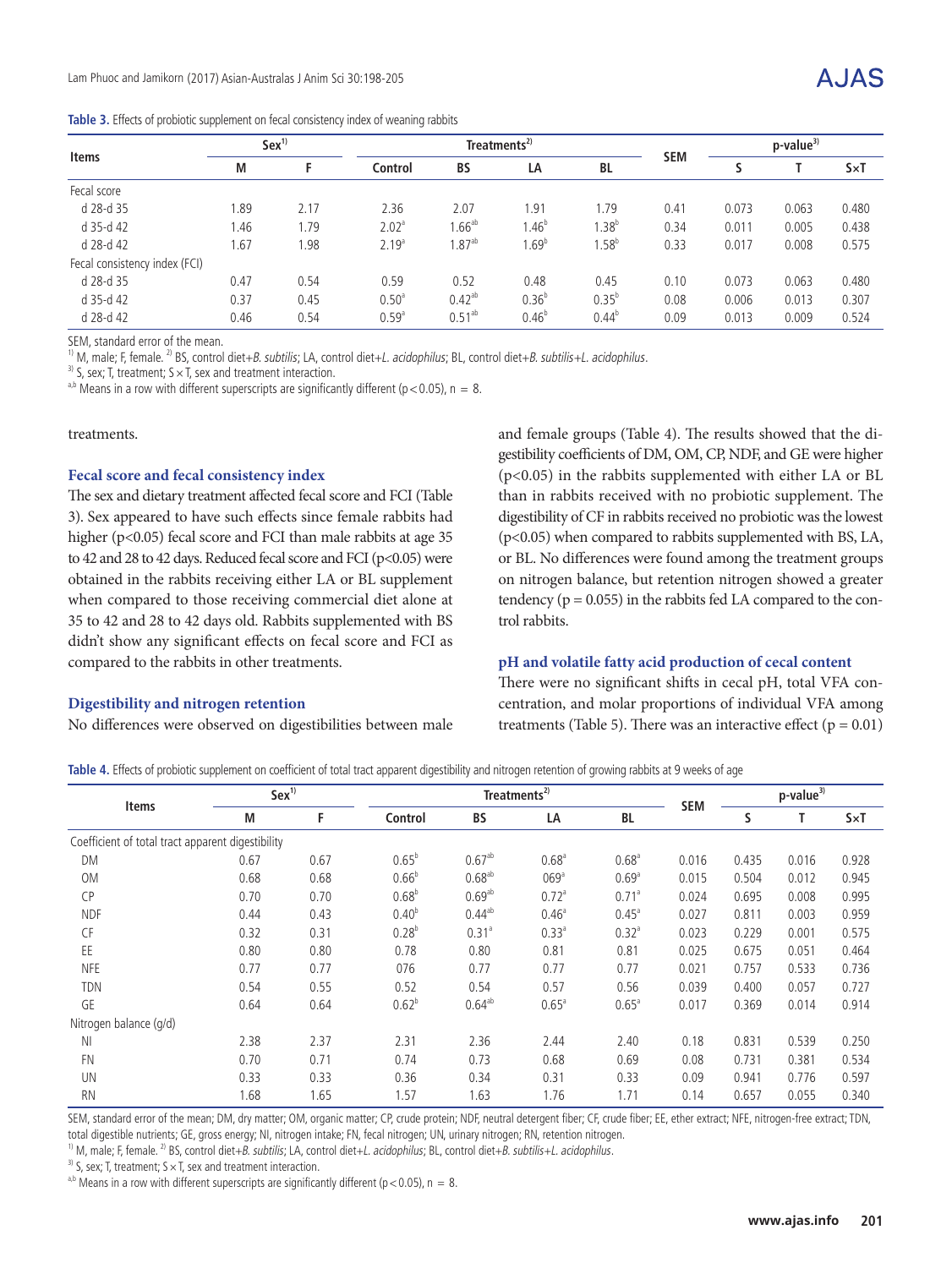| Table 3. Effects of probiotic supplement on fecal consistency index of weaning rabbits |  |
|----------------------------------------------------------------------------------------|--|
|----------------------------------------------------------------------------------------|--|

|                               | Sex <sup>1</sup> |      |                   | Treatments <sup>2)</sup> |            |            |            | $p$ -value <sup>3)</sup> |       |              |
|-------------------------------|------------------|------|-------------------|--------------------------|------------|------------|------------|--------------------------|-------|--------------|
| <b>Items</b>                  | М                |      | Control           | <b>BS</b>                | LA         | <b>BL</b>  | <b>SEM</b> |                          |       | $S \times T$ |
| Fecal score                   |                  |      |                   |                          |            |            |            |                          |       |              |
| d 28-d 35                     | 1.89             | 2.17 | 2.36              | 2.07                     | 1.91       | .79        | 0.41       | 0.073                    | 0.063 | 0.480        |
| d 35-d 42                     | 1.46             | .79  | 2.02 <sup>a</sup> | $1.66^{\rm ab}$          | $1.46^{b}$ | $1.38^{b}$ | 0.34       | 0.011                    | 0.005 | 0.438        |
| d 28-d 42                     | 1.67             | 1.98 | 2.19 <sup>a</sup> | $1.87^{ab}$              | $1.69^{b}$ | $1.58^{b}$ | 0.33       | 0.017                    | 0.008 | 0.575        |
| Fecal consistency index (FCI) |                  |      |                   |                          |            |            |            |                          |       |              |
| d 28-d 35                     | 0.47             | 0.54 | 0.59              | 0.52                     | 0.48       | 0.45       | 0.10       | 0.073                    | 0.063 | 0.480        |
| d 35-d 42                     | 0.37             | 0.45 | 0.50 <sup>a</sup> | $0.42^{ab}$              | $0.36^{b}$ | $0.35^{b}$ | 0.08       | 0.006                    | 0.013 | 0.307        |
| d 28-d 42                     | 0.46             | 0.54 | 0.59 <sup>a</sup> | $0.51^{ab}$              | $0.46^{b}$ | $0.44^{b}$ | 0.09       | 0.013                    | 0.009 | 0.524        |

SEM, standard error of the mean.

<sup>1)</sup> M, male; F, female. <sup>2)</sup> BS, control diet+*B. subtilis*; LA, control diet+*L. acidophilus*; BL, control diet+*B. subtilis*+*L. acidophilus.* <sup>3)</sup> S, sex; T, treatment; S × T, sex and treatment interaction.

<sup>a,b</sup> Means in a row with different superscripts are significantly different ( $p < 0.05$ ), n = 8.

treatments.

#### **Fecal score and fecal consistency index**

The sex and dietary treatment affected fecal score and FCI (Table 3). Sex appeared to have such effects since female rabbits had higher (p<0.05) fecal score and FCI than male rabbits at age 35 to 42 and 28 to 42 days. Reduced fecal score and FCI ( $p<0.05$ ) were obtained in the rabbits receiving either LA or BL supplement when compared to those receiving commercial diet alone at 35 to 42 and 28 to 42 days old. Rabbits supplemented with BS didn't show any significant effects on fecal score and FCI as compared to the rabbits in other treatments.

#### **Digestibility and nitrogen retention**

No differences were observed on digestibilities between male

and female groups (Table 4). The results showed that the digestibility coefficients of DM, OM, CP, NDF, and GE were higher (p<0.05) in the rabbits supplemented with either LA or BL than in rabbits received with no probiotic supplement. The digestibility of CF in rabbits received no probiotic was the lowest (p<0.05) when compared to rabbits supplemented with BS, LA, or BL. No differences were found among the treatment groups on nitrogen balance, but retention nitrogen showed a greater tendency ( $p = 0.055$ ) in the rabbits fed LA compared to the control rabbits.

#### **pH and volatile fatty acid production of cecal content**

There were no significant shifts in cecal pH, total VFA concentration, and molar proportions of individual VFA among treatments (Table 5). There was an interactive effect ( $p = 0.01$ )

Table 4. Effects of probiotic supplement on coefficient of total tract apparent digestibility and nitrogen retention of growing rabbits at 9 weeks of age

|                                                   | Sex <sup>1</sup> |      |                   | Treatments <sup>2)</sup> |                    |                   |            |       | $p$ -value <sup>3)</sup> |              |  |
|---------------------------------------------------|------------------|------|-------------------|--------------------------|--------------------|-------------------|------------|-------|--------------------------|--------------|--|
| <b>Items</b>                                      | M                | F    | Control           | <b>BS</b>                | LA                 | <b>BL</b>         | <b>SEM</b> | S     |                          | $S \times T$ |  |
| Coefficient of total tract apparent digestibility |                  |      |                   |                          |                    |                   |            |       |                          |              |  |
| <b>DM</b>                                         | 0.67             | 0.67 | $0.65^{b}$        | $0.67^{ab}$              | $0.68^{\circ}$     | 0.68 <sup>a</sup> | 0.016      | 0.435 | 0.016                    | 0.928        |  |
| <b>OM</b>                                         | 0.68             | 0.68 | 0.66 <sup>b</sup> | $0.68^{ab}$              | $069$ <sup>a</sup> | 0.69 <sup>a</sup> | 0.015      | 0.504 | 0.012                    | 0.945        |  |
| <b>CP</b>                                         | 0.70             | 0.70 | $0.68^{b}$        | $0.69^{ab}$              | 0.72 <sup>a</sup>  | 0.71 <sup>a</sup> | 0.024      | 0.695 | 0.008                    | 0.995        |  |
| <b>NDF</b>                                        | 0.44             | 0.43 | $0.40^{b}$        | $0.44^{ab}$              | $0.46^{\circ}$     | $0.45^{\circ}$    | 0.027      | 0.811 | 0.003                    | 0.959        |  |
| <b>CF</b>                                         | 0.32             | 0.31 | $0.28^{b}$        | 0.31 <sup>a</sup>        | $0.33^{a}$         | 0.32 <sup>a</sup> | 0.023      | 0.229 | 0.001                    | 0.575        |  |
| EE                                                | 0.80             | 0.80 | 0.78              | 0.80                     | 0.81               | 0.81              | 0.025      | 0.675 | 0.051                    | 0.464        |  |
| <b>NFE</b>                                        | 0.77             | 0.77 | 076               | 0.77                     | 0.77               | 0.77              | 0.021      | 0.757 | 0.533                    | 0.736        |  |
| <b>TDN</b>                                        | 0.54             | 0.55 | 0.52              | 0.54                     | 0.57               | 0.56              | 0.039      | 0.400 | 0.057                    | 0.727        |  |
| GE                                                | 0.64             | 0.64 | $0.62^{b}$        | $0.64^{ab}$              | 0.65 <sup>a</sup>  | 0.65 <sup>a</sup> | 0.017      | 0.369 | 0.014                    | 0.914        |  |
| Nitrogen balance (g/d)                            |                  |      |                   |                          |                    |                   |            |       |                          |              |  |
| ΝI                                                | 2.38             | 2.37 | 2.31              | 2.36                     | 2.44               | 2.40              | 0.18       | 0.831 | 0.539                    | 0.250        |  |
| <b>FN</b>                                         | 0.70             | 0.71 | 0.74              | 0.73                     | 0.68               | 0.69              | 0.08       | 0.731 | 0.381                    | 0.534        |  |
| UN                                                | 0.33             | 0.33 | 0.36              | 0.34                     | 0.31               | 0.33              | 0.09       | 0.941 | 0.776                    | 0.597        |  |
| <b>RN</b>                                         | 1.68             | 1.65 | 1.57              | 1.63                     | 1.76               | 1.71              | 0.14       | 0.657 | 0.055                    | 0.340        |  |

SEM, standard error of the mean; DM, dry matter; OM, organic matter; CP, crude protein; NDF, neutral detergent fiber; CF, crude fiber; EE, ether extract; NFE, nitrogen-free extract; TDN, total digestible nutrients; GE, gross energy; NI, nitrogen intake; FN, fecal nitrogen; UN, urinary nitrogen; RN, retention nitrogen.

<sup>1)</sup> M, male; F, female. <sup>2)</sup> BS, control diet+*B. subtilis*; LA, control diet+*L. acidophilus*; BL, control diet+*B. subtilis+L. acidophilus.* <sup>3)</sup> S, sex; T, treatment; S × T, sex and treatment interaction.

<sup>a,b</sup> Means in a row with different superscripts are significantly different ( $p < 0.05$ ),  $n = 8$ .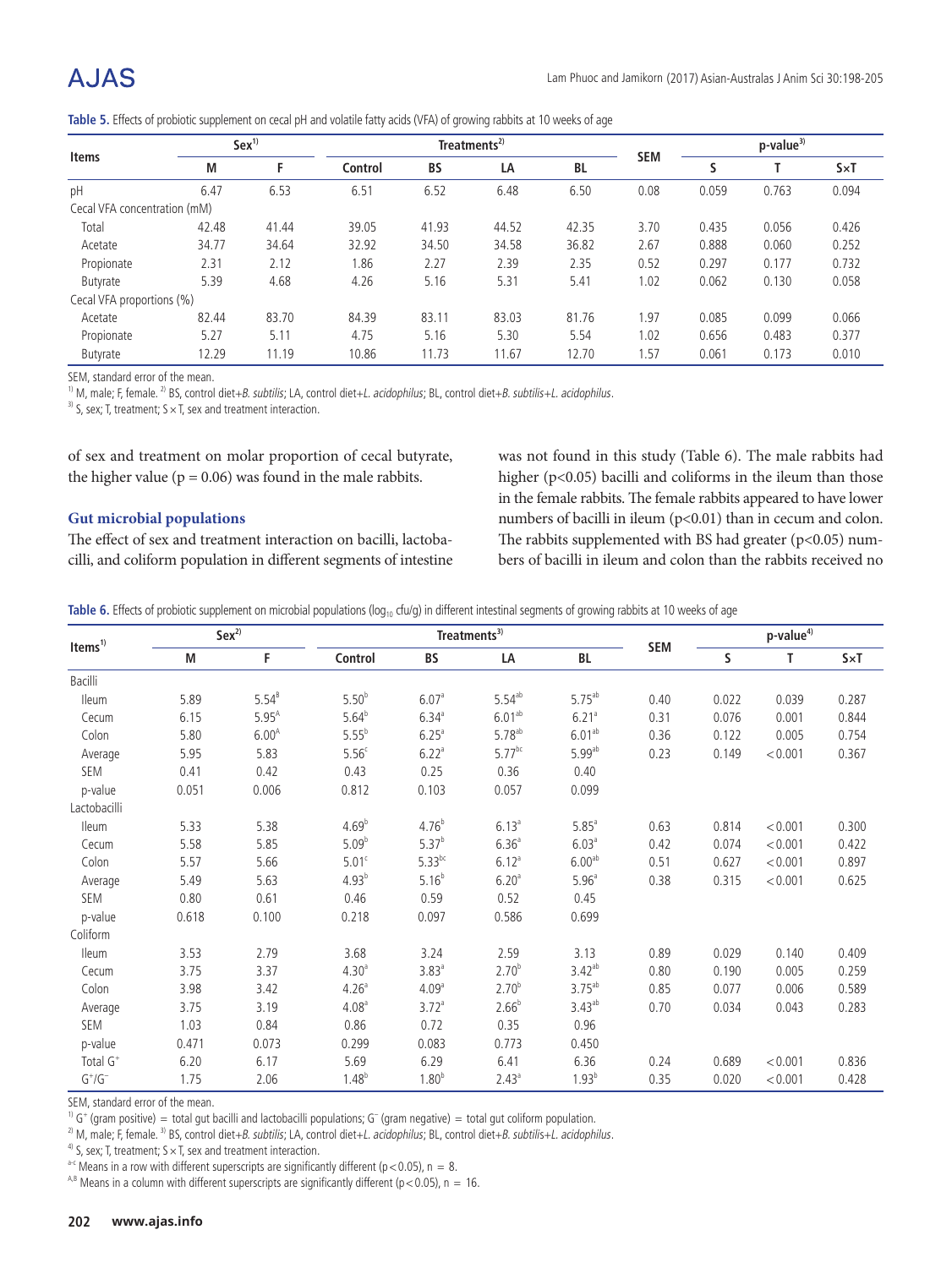|                              | Sex <sup>1</sup> |       |         |           | $p-value3$ |           |            |       |       |              |
|------------------------------|------------------|-------|---------|-----------|------------|-----------|------------|-------|-------|--------------|
| <b>Items</b>                 | М                | F     | Control | <b>BS</b> | LA         | <b>BL</b> | <b>SEM</b> |       |       | $S \times T$ |
| pH                           | 6.47             | 6.53  | 6.51    | 6.52      | 6.48       | 6.50      | 0.08       | 0.059 | 0.763 | 0.094        |
| Cecal VFA concentration (mM) |                  |       |         |           |            |           |            |       |       |              |
| Total                        | 42.48            | 41.44 | 39.05   | 41.93     | 44.52      | 42.35     | 3.70       | 0.435 | 0.056 | 0.426        |
| Acetate                      | 34.77            | 34.64 | 32.92   | 34.50     | 34.58      | 36.82     | 2.67       | 0.888 | 0.060 | 0.252        |
| Propionate                   | 2.31             | 2.12  | 1.86    | 2.27      | 2.39       | 2.35      | 0.52       | 0.297 | 0.177 | 0.732        |
| <b>Butyrate</b>              | 5.39             | 4.68  | 4.26    | 5.16      | 5.31       | 5.41      | 1.02       | 0.062 | 0.130 | 0.058        |
| Cecal VFA proportions (%)    |                  |       |         |           |            |           |            |       |       |              |
| Acetate                      | 82.44            | 83.70 | 84.39   | 83.11     | 83.03      | 81.76     | . 97       | 0.085 | 0.099 | 0.066        |
| Propionate                   | 5.27             | 5.11  | 4.75    | 5.16      | 5.30       | 5.54      | 1.02       | 0.656 | 0.483 | 0.377        |
| <b>Butyrate</b>              | 12.29            | 11.19 | 10.86   | 11.73     | 11.67      | 12.70     | 1.57       | 0.061 | 0.173 | 0.010        |

**Table 5.** Effects of probiotic supplement on cecal pH and volatile fatty acids (VFA) of growing rabbits at 10 weeks of age

SEM, standard error of the mean.

<sup>1)</sup> M, male; F, female.<sup>2)</sup> BS, control diet+B. subtilis; LA, control diet+L. acidophilus; BL, control diet+B. subtilis+L. acidophilus.

<sup>3)</sup> S, sex; T, treatment;  $S \times T$ , sex and treatment interaction.

of sex and treatment on molar proportion of cecal butyrate, the higher value ( $p = 0.06$ ) was found in the male rabbits.

#### **Gut microbial populations**

The effect of sex and treatment interaction on bacilli, lactobacilli, and coliform population in different segments of intestine was not found in this study (Table 6). The male rabbits had higher (p<0.05) bacilli and coliforms in the ileum than those in the female rabbits. The female rabbits appeared to have lower numbers of bacilli in ileum (p<0.01) than in cecum and colon. The rabbits supplemented with BS had greater  $(p<0.05)$  numbers of bacilli in ileum and colon than the rabbits received no

Table 6. Effects of probiotic supplement on microbial populations (log<sub>10</sub> cfu/g) in different intestinal segments of growing rabbits at 10 weeks of age

| Items <sup>1)</sup>                                                   |       | $Sex^{2)}$ |                   | $\mathsf{Treatments}^{\mathsf{3)}}$ |                    |                      |            |       | p-value <sup>4)</sup> |              |  |
|-----------------------------------------------------------------------|-------|------------|-------------------|-------------------------------------|--------------------|----------------------|------------|-------|-----------------------|--------------|--|
|                                                                       | M     | F          | Control           | BS                                  | LA                 | BL                   | <b>SEM</b> | S     | Т                     | $S \times T$ |  |
| Bacilli                                                               |       |            |                   |                                     |                    |                      |            |       |                       |              |  |
| <b>Ileum</b>                                                          | 5.89  | $5.54^{B}$ | $5.50^{b}$        | 6.07 <sup>a</sup>                   | $5.54^{ab}$        | $5.75^{ab}$          | 0.40       | 0.022 | 0.039                 | 0.287        |  |
| Cecum                                                                 | 6.15  | $5.95^{A}$ | $5.64^{b}$        | $6.34^{a}$                          | 6.01 <sup>ab</sup> | 6.21 <sup>a</sup>    | 0.31       | 0.076 | 0.001                 | 0.844        |  |
| Colon                                                                 | 5.80  | $6.00^{A}$ | $5.55^{b}$        | $6.25$ <sup>a</sup>                 | 5.78 <sup>ab</sup> | 6.01 <sup>ab</sup>   | 0.36       | 0.122 | 0.005                 | 0.754        |  |
| Average                                                               | 5.95  | 5.83       | 5.56 <sup>c</sup> | 6.22 <sup>a</sup>                   | $5.77^{bc}$        | $5.99$ <sup>ab</sup> | 0.23       | 0.149 | < 0.001               | 0.367        |  |
| SEM                                                                   | 0.41  | 0.42       | 0.43              | 0.25                                | 0.36               | 0.40                 |            |       |                       |              |  |
| p-value                                                               | 0.051 | 0.006      | 0.812             | 0.103                               | 0.057              | 0.099                |            |       |                       |              |  |
| Lactobacilli                                                          |       |            |                   |                                     |                    |                      |            |       |                       |              |  |
| <b>Ileum</b>                                                          | 5.33  | 5.38       | 4.69 <sup>b</sup> | $4.76^{b}$                          | $6.13^{a}$         | $5.85$ <sup>a</sup>  | 0.63       | 0.814 | < 0.001               | 0.300        |  |
| Cecum                                                                 | 5.58  | 5.85       | $5.09^{b}$        | $5.37^{b}$                          | 6.36 <sup>a</sup>  | 6.03 <sup>a</sup>    | 0.42       | 0.074 | < 0.001               | 0.422        |  |
| Colon                                                                 | 5.57  | 5.66       | 5.01 <sup>c</sup> | $5.33^{bc}$                         | $6.12^{a}$         | 6.00 <sup>ab</sup>   | 0.51       | 0.627 | < 0.001               | 0.897        |  |
| Average                                                               | 5.49  | 5.63       | $4.93^{b}$        | $5.16^{b}$                          | 6.20 <sup>a</sup>  | 5.96 <sup>a</sup>    | 0.38       | 0.315 | < 0.001               | 0.625        |  |
| SEM                                                                   | 0.80  | 0.61       | 0.46              | 0.59                                | 0.52               | 0.45                 |            |       |                       |              |  |
| p-value                                                               | 0.618 | 0.100      | 0.218             | 0.097                               | 0.586              | 0.699                |            |       |                       |              |  |
| Coliform                                                              |       |            |                   |                                     |                    |                      |            |       |                       |              |  |
| <b>Ileum</b>                                                          | 3.53  | 2.79       | 3.68              | 3.24                                | 2.59               | 3.13                 | 0.89       | 0.029 | 0.140                 | 0.409        |  |
| Cecum                                                                 | 3.75  | 3.37       | 4.30 <sup>a</sup> | 3.83 <sup>a</sup>                   | 2.70 <sup>b</sup>  | $3.42^{ab}$          | 0.80       | 0.190 | 0.005                 | 0.259        |  |
| Colon                                                                 | 3.98  | 3.42       | 4.26 <sup>a</sup> | 4.09 <sup>a</sup>                   | 2.70 <sup>b</sup>  | $3.75^{ab}$          | 0.85       | 0.077 | 0.006                 | 0.589        |  |
| Average                                                               | 3.75  | 3.19       | 4.08 <sup>a</sup> | 3.72 <sup>a</sup>                   | $2.66^{b}$         | $3.43^{ab}$          | 0.70       | 0.034 | 0.043                 | 0.283        |  |
| SEM                                                                   | 1.03  | 0.84       | 0.86              | 0.72                                | 0.35               | 0.96                 |            |       |                       |              |  |
| p-value                                                               | 0.471 | 0.073      | 0.299             | 0.083                               | 0.773              | 0.450                |            |       |                       |              |  |
| Total G <sup>+</sup>                                                  | 6.20  | 6.17       | 5.69              | 6.29                                | 6.41               | 6.36                 | 0.24       | 0.689 | < 0.001               | 0.836        |  |
| $\mathsf{G}^{\scriptscriptstyle +}/\mathsf{G}^{\scriptscriptstyle -}$ | 1.75  | 2.06       | $1.48^{b}$        | 1.80 <sup>b</sup>                   | $2.43^{a}$         | $1.93^{b}$           | 0.35       | 0.020 | < 0.001               | 0.428        |  |

SEM, standard error of the mean.

 $10 \text{ G}^+$  (gram positive) = total gut bacilli and lactobacilli populations; G<sup>-</sup> (gram negative) = total gut coliform population.

<sup>2)</sup> M, male; F, female. <sup>3)</sup> BS, control diet+*B. subtilis*; LA, control diet+*L. acidophilus*; BL, control diet+*B. subtilis+L. acidophilus.* 4<sup>0</sup> S, sex; T, treatment; S × T, sex and treatment interaction.

<sup>a-c</sup> Means in a row with different superscripts are significantly different (p < 0.05), n = 8.

<sup>A,B</sup> Means in a column with different superscripts are significantly different (p < 0.05), n = 16.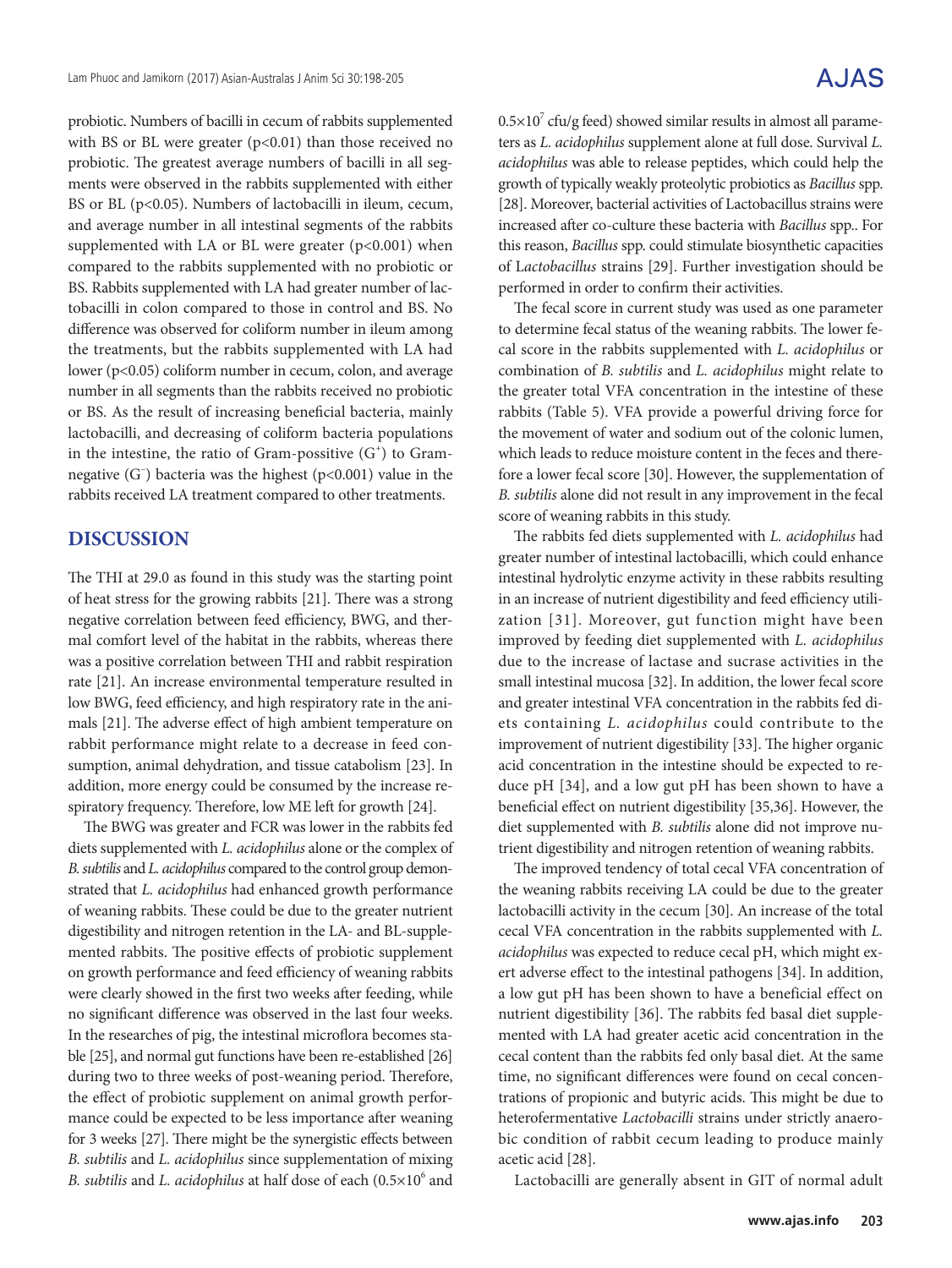probiotic. Numbers of bacilli in cecum of rabbits supplemented with BS or BL were greater  $(p<0.01)$  than those received no probiotic. The greatest average numbers of bacilli in all segments were observed in the rabbits supplemented with either BS or BL (p<0.05). Numbers of lactobacilli in ileum, cecum, and average number in all intestinal segments of the rabbits supplemented with LA or BL were greater  $(p<0.001)$  when compared to the rabbits supplemented with no probiotic or BS. Rabbits supplemented with LA had greater number of lactobacilli in colon compared to those in control and BS. No difference was observed for coliform number in ileum among the treatments, but the rabbits supplemented with LA had lower (p<0.05) coliform number in cecum, colon, and average number in all segments than the rabbits received no probiotic or BS. As the result of increasing beneficial bacteria, mainly lactobacilli, and decreasing of coliform bacteria populations in the intestine, the ratio of Gram-possitive  $(G<sup>+</sup>)$  to Gramnegative (G– ) bacteria was the highest (p<0.001) value in the rabbits received LA treatment compared to other treatments.

## **DISCUSSION**

The THI at 29.0 as found in this study was the starting point of heat stress for the growing rabbits [21]. There was a strong negative correlation between feed efficiency, BWG, and thermal comfort level of the habitat in the rabbits, whereas there was a positive correlation between THI and rabbit respiration rate [21]. An increase environmental temperature resulted in low BWG, feed efficiency, and high respiratory rate in the animals [21]. The adverse effect of high ambient temperature on rabbit performance might relate to a decrease in feed consumption, animal dehydration, and tissue catabolism [23]. In addition, more energy could be consumed by the increase respiratory frequency. Therefore, low ME left for growth [24].

The BWG was greater and FCR was lower in the rabbits fed diets supplemented with *L. acidophilus* alone or the complex of *B. subtilis* and *L. acidophilus* compared to the control group demonstrated that *L. acidophilus* had enhanced growth performance of weaning rabbits. These could be due to the greater nutrient digestibility and nitrogen retention in the LA- and BL-supplemented rabbits. The positive effects of probiotic supplement on growth performance and feed efficiency of weaning rabbits were clearly showed in the first two weeks after feeding, while no significant difference was observed in the last four weeks. In the researches of pig, the intestinal microflora becomes stable [25], and normal gut functions have been re-established [26] during two to three weeks of post-weaning period. Therefore, the effect of probiotic supplement on animal growth performance could be expected to be less importance after weaning for 3 weeks [27]. There might be the synergistic effects between *B. subtilis* and *L. acidophilus* since supplementation of mixing B. subtilis and *L. acidophilus* at half dose of each (0.5×10<sup>6</sup> and

 $0.5\times10^{7}$  cfu/g feed) showed similar results in almost all parameters as *L. acidophilus* supplement alone at full dose. Survival *L. acidophilus* was able to release peptides, which could help the growth of typically weakly proteolytic probiotics as *Bacillus* spp. [28]. Moreover, bacterial activities of Lactobacillus strains were increased after co-culture these bacteria with *Bacillus* spp.. For this reason, *Bacillus* spp. could stimulate biosynthetic capacities of L*actobacillus* strains [29]. Further investigation should be performed in order to confirm their activities.

The fecal score in current study was used as one parameter to determine fecal status of the weaning rabbits. The lower fecal score in the rabbits supplemented with *L. acidophilus* or combination of *B. subtilis* and *L. acidophilus* might relate to the greater total VFA concentration in the intestine of these rabbits (Table 5). VFA provide a powerful driving force for the movement of water and sodium out of the colonic lumen, which leads to reduce moisture content in the feces and therefore a lower fecal score [30]. However, the supplementation of *B. subtilis* alone did not result in any improvement in the fecal score of weaning rabbits in this study.

The rabbits fed diets supplemented with *L. acidophilus* had greater number of intestinal lactobacilli, which could enhance intestinal hydrolytic enzyme activity in these rabbits resulting in an increase of nutrient digestibility and feed efficiency utilization [31]. Moreover, gut function might have been improved by feeding diet supplemented with *L. acidophilus*  due to the increase of lactase and sucrase activities in the small intestinal mucosa [32]. In addition, the lower fecal score and greater intestinal VFA concentration in the rabbits fed diets containing *L. acidophilus* could contribute to the improvement of nutrient digestibility [33]. The higher organic acid concentration in the intestine should be expected to reduce pH [34], and a low gut pH has been shown to have a beneficial effect on nutrient digestibility [35,36]. However, the diet supplemented with *B. subtilis* alone did not improve nutrient digestibility and nitrogen retention of weaning rabbits.

The improved tendency of total cecal VFA concentration of the weaning rabbits receiving LA could be due to the greater lactobacilli activity in the cecum [30]. An increase of the total cecal VFA concentration in the rabbits supplemented with *L. acidophilus* was expected to reduce cecal pH, which might exert adverse effect to the intestinal pathogens [34]. In addition, a low gut pH has been shown to have a beneficial effect on nutrient digestibility [36]. The rabbits fed basal diet supplemented with LA had greater acetic acid concentration in the cecal content than the rabbits fed only basal diet. At the same time, no significant differences were found on cecal concentrations of propionic and butyric acids. This might be due to heterofermentative *Lactobacilli* strains under strictly anaerobic condition of rabbit cecum leading to produce mainly acetic acid [28].

Lactobacilli are generally absent in GIT of normal adult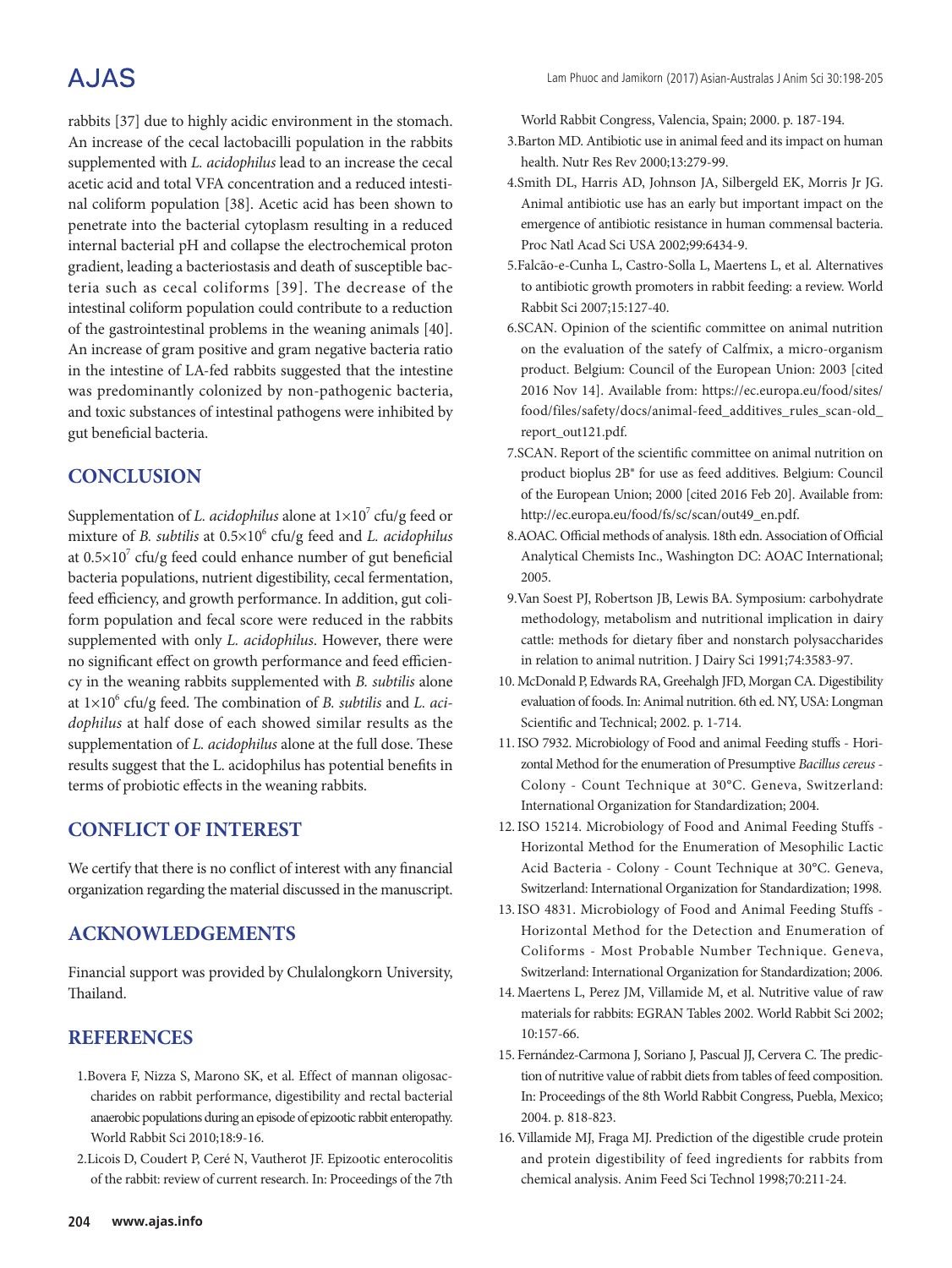# A.JAS

rabbits [37] due to highly acidic environment in the stomach. An increase of the cecal lactobacilli population in the rabbits supplemented with *L. acidophilus* lead to an increase the cecal acetic acid and total VFA concentration and a reduced intestinal coliform population [38]. Acetic acid has been shown to penetrate into the bacterial cytoplasm resulting in a reduced internal bacterial pH and collapse the electrochemical proton gradient, leading a bacteriostasis and death of susceptible bacteria such as cecal coliforms [39]. The decrease of the intestinal coliform population could contribute to a reduction of the gastrointestinal problems in the weaning animals [40]. An increase of gram positive and gram negative bacteria ratio in the intestine of LA-fed rabbits suggested that the intestine was predominantly colonized by non-pathogenic bacteria, and toxic substances of intestinal pathogens were inhibited by gut beneficial bacteria.

# **CONCLUSION**

Supplementation of *L. acidophilus* alone at  $1 \times 10^7$  cfu/g feed or mixture of *B. subtilis* at  $0.5 \times 10^6$  cfu/g feed and *L. acidophilus* at  $0.5 \times 10^7$  cfu/g feed could enhance number of gut beneficial bacteria populations, nutrient digestibility, cecal fermentation, feed efficiency, and growth performance. In addition, gut coliform population and fecal score were reduced in the rabbits supplemented with only *L. acidophilus*. However, there were no significant effect on growth performance and feed efficiency in the weaning rabbits supplemented with *B. subtilis* alone at  $1 \times 10^6$  cfu/g feed. The combination of *B. subtilis* and *L. acidophilus* at half dose of each showed similar results as the supplementation of *L. acidophilus* alone at the full dose. These results suggest that the L. acidophilus has potential benefits in terms of probiotic effects in the weaning rabbits.

## **CONFLICT OF INTEREST**

We certify that there is no conflict of interest with any financial organization regarding the material discussed in the manuscript.

## **ACKNOWLEDGEMENTS**

Financial support was provided by Chulalongkorn University, Thailand.

## **REFERENCES**

- 1.Bovera F, Nizza S, Marono SK, et al. Effect of mannan oligosaccharides on rabbit performance, digestibility and rectal bacterial anaerobic populations during an episode of epizootic rabbit enteropathy. World Rabbit Sci 2010;18:9-16.
- 2.Licois D, Coudert P, Ceré N, Vautherot JF. Epizootic enterocolitis of the rabbit: review of current research. In: Proceedings of the 7th

World Rabbit Congress, Valencia, Spain; 2000. p. 187-194.

- 3.Barton MD. Antibiotic use in animal feed and its impact on human health. Nutr Res Rev 2000;13:279-99.
- 4.Smith DL, Harris AD, Johnson JA, Silbergeld EK, Morris Jr JG. Animal antibiotic use has an early but important impact on the emergence of antibiotic resistance in human commensal bacteria. Proc Natl Acad Sci USA 2002;99:6434-9.
- 5.Falcão-e-Cunha L, Castro-Solla L, Maertens L, et al. Alternatives to antibiotic growth promoters in rabbit feeding: a review. World Rabbit Sci 2007;15:127-40.
- 6.SCAN. Opinion of the scientific committee on animal nutrition on the evaluation of the satefy of Calfmix, a micro-organism product. Belgium: Council of the European Union: 2003 [cited 2016 Nov 14]. Available from: https://ec.europa.eu/food/sites/ food/files/safety/docs/animal-feed\_additives\_rules\_scan-old\_ report\_out121.pdf.
- 7.SCAN. Report of the scientific committee on animal nutrition on product bioplus 2B® for use as feed additives. Belgium: Council of the European Union; 2000 [cited 2016 Feb 20]. Available from: http://ec.europa.eu/food/fs/sc/scan/out49\_en.pdf.
- 8.AOAC. Official methods of analysis. 18th edn. Association of Official Analytical Chemists Inc., Washington DC: AOAC International; 2005.
- 9.Van Soest PJ, Robertson JB, Lewis BA. Symposium: carbohydrate methodology, metabolism and nutritional implication in dairy cattle: methods for dietary fiber and nonstarch polysaccharides in relation to animal nutrition. J Dairy Sci 1991;74:3583-97.
- 10. McDonald P, Edwards RA, Greehalgh JFD, Morgan CA. Digestibility evaluation of foods. In: Animal nutrition. 6th ed. NY, USA: Longman Scientific and Technical; 2002. p. 1-714.
- 11.ISO 7932. Microbiology of Food and animal Feeding stuffs Horizontal Method for the enumeration of Presumptive *Bacillus cereus* -Colony - Count Technique at 30°C. Geneva, Switzerland: International Organization for Standardization; 2004.
- 12.ISO 15214. Microbiology of Food and Animal Feeding Stuffs -Horizontal Method for the Enumeration of Mesophilic Lactic Acid Bacteria - Colony - Count Technique at 30°C. Geneva, Switzerland: International Organization for Standardization; 1998.
- 13.ISO 4831. Microbiology of Food and Animal Feeding Stuffs -Horizontal Method for the Detection and Enumeration of Coliforms - Most Probable Number Technique. Geneva, Switzerland: International Organization for Standardization; 2006.
- 14. Maertens L, Perez JM, Villamide M, et al. Nutritive value of raw materials for rabbits: EGRAN Tables 2002. World Rabbit Sci 2002; 10:157-66.
- 15. Fernández-Carmona J, Soriano J, Pascual JJ, Cervera C. The prediction of nutritive value of rabbit diets from tables of feed composition. In: Proceedings of the 8th World Rabbit Congress, Puebla, Mexico; 2004. p. 818-823.
- 16. Villamide MJ, Fraga MJ. Prediction of the digestible crude protein and protein digestibility of feed ingredients for rabbits from chemical analysis. Anim Feed Sci Technol 1998;70:211-24.